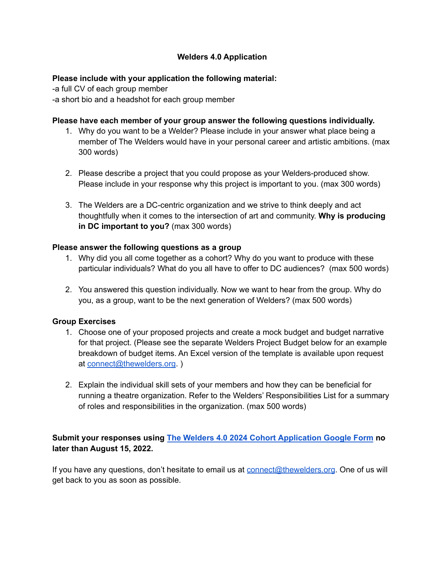# **Welders 4.0 Application**

#### **Please include with your application the following material:**

-a full CV of each group member -a short bio and a headshot for each group member

#### **Please have each member of your group answer the following questions individually.**

- 1. Why do you want to be a Welder? Please include in your answer what place being a member of The Welders would have in your personal career and artistic ambitions. (max 300 words)
- 2. Please describe a project that you could propose as your Welders-produced show. Please include in your response why this project is important to you. (max 300 words)
- 3. The Welders are a DC-centric organization and we strive to think deeply and act thoughtfully when it comes to the intersection of art and community. **Why is producing in DC important to you?** (max 300 words)

# **Please answer the following questions as a group**

- 1. Why did you all come together as a cohort? Why do you want to produce with these particular individuals? What do you all have to offer to DC audiences? (max 500 words)
- 2. You answered this question individually. Now we want to hear from the group. Why do you, as a group, want to be the next generation of Welders? (max 500 words)

#### **Group Exercises**

- 1. Choose one of your proposed projects and create a mock budget and budget narrative for that project. (Please see the separate Welders Project Budget below for an example breakdown of budget items. An Excel version of the template is available upon request at [connect@thewelders.org.](mailto:connect@thewelders.org) )
- 2. Explain the individual skill sets of your members and how they can be beneficial for running a theatre organization. Refer to the Welders' Responsibilities List for a summary of roles and responsibilities in the organization. (max 500 words)

# **Submit your responses using The Welders 4.0 2024 Cohort [Application](https://docs.google.com/forms/d/e/1FAIpQLSewZrki4cNoeVwb5e1coduU6iuOY8HOWj4etfhAH2Oj4WPt2A/viewform) Google Form no later than August 15, 2022.**

If you have any questions, don't hesitate to email us at  $connect@threshold$  thewelders.org. One of us will get back to you as soon as possible.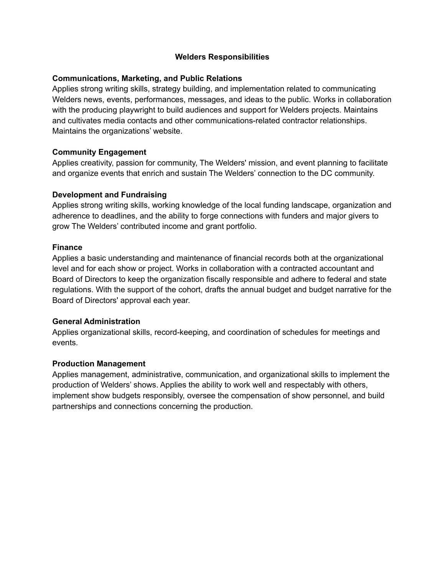# **Welders Responsibilities**

# **Communications, Marketing, and Public Relations**

Applies strong writing skills, strategy building, and implementation related to communicating Welders news, events, performances, messages, and ideas to the public. Works in collaboration with the producing playwright to build audiences and support for Welders projects. Maintains and cultivates media contacts and other communications-related contractor relationships. Maintains the organizations' website.

# **Community Engagement**

Applies creativity, passion for community, The Welders' mission, and event planning to facilitate and organize events that enrich and sustain The Welders' connection to the DC community.

# **Development and Fundraising**

Applies strong writing skills, working knowledge of the local funding landscape, organization and adherence to deadlines, and the ability to forge connections with funders and major givers to grow The Welders' contributed income and grant portfolio.

#### **Finance**

Applies a basic understanding and maintenance of financial records both at the organizational level and for each show or project. Works in collaboration with a contracted accountant and Board of Directors to keep the organization fiscally responsible and adhere to federal and state regulations. With the support of the cohort, drafts the annual budget and budget narrative for the Board of Directors' approval each year.

#### **General Administration**

Applies organizational skills, record-keeping, and coordination of schedules for meetings and events.

#### **Production Management**

Applies management, administrative, communication, and organizational skills to implement the production of Welders' shows. Applies the ability to work well and respectably with others, implement show budgets responsibly, oversee the compensation of show personnel, and build partnerships and connections concerning the production.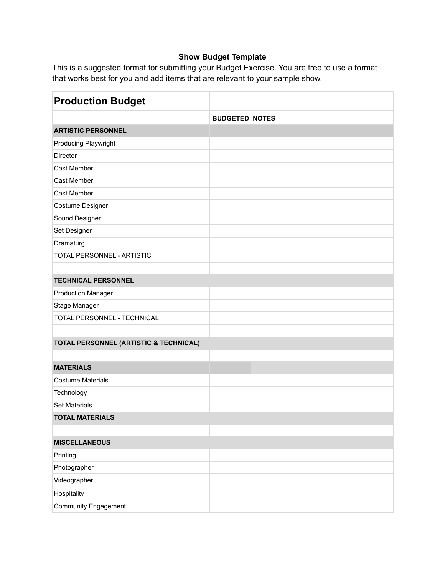# **Show Budget Template**

This is a suggested format for submitting your Budget Exercise. You are free to use a format that works best for you and add items that are relevant to your sample show.

| <b>Production Budget</b>               |                       |  |
|----------------------------------------|-----------------------|--|
|                                        | <b>BUDGETED NOTES</b> |  |
| <b>ARTISTIC PERSONNEL</b>              |                       |  |
| Producing Playwright                   |                       |  |
| Director                               |                       |  |
| Cast Member                            |                       |  |
| Cast Member                            |                       |  |
| <b>Cast Member</b>                     |                       |  |
| Costume Designer                       |                       |  |
| Sound Designer                         |                       |  |
| Set Designer                           |                       |  |
| Dramaturg                              |                       |  |
| TOTAL PERSONNEL - ARTISTIC             |                       |  |
|                                        |                       |  |
| <b>TECHNICAL PERSONNEL</b>             |                       |  |
| <b>Production Manager</b>              |                       |  |
| Stage Manager                          |                       |  |
| TOTAL PERSONNEL - TECHNICAL            |                       |  |
|                                        |                       |  |
| TOTAL PERSONNEL (ARTISTIC & TECHNICAL) |                       |  |
|                                        |                       |  |
| <b>MATERIALS</b>                       |                       |  |
| <b>Costume Materials</b>               |                       |  |
| Technology                             |                       |  |
| <b>Set Materials</b>                   |                       |  |
| <b>TOTAL MATERIALS</b>                 |                       |  |
|                                        |                       |  |
| <b>MISCELLANEOUS</b>                   |                       |  |
| Printing                               |                       |  |
| Photographer                           |                       |  |
| Videographer                           |                       |  |
| Hospitality                            |                       |  |
| <b>Community Engagement</b>            |                       |  |